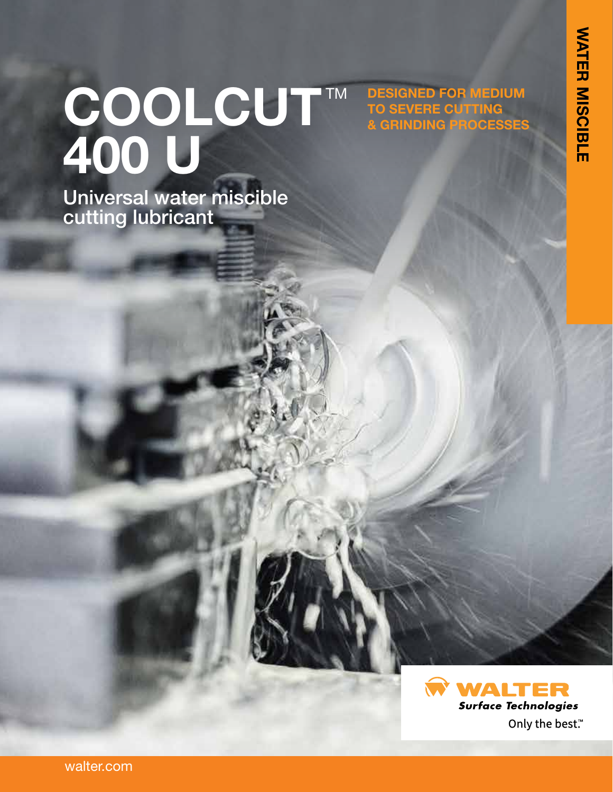**DESIGNED FOR MEDIUM** 

**& GRINDING PROCESSES**

**TO SEVERE CUTTING**

# COOLCUT™ **400 U**

Universal water miscible cutting lubricant